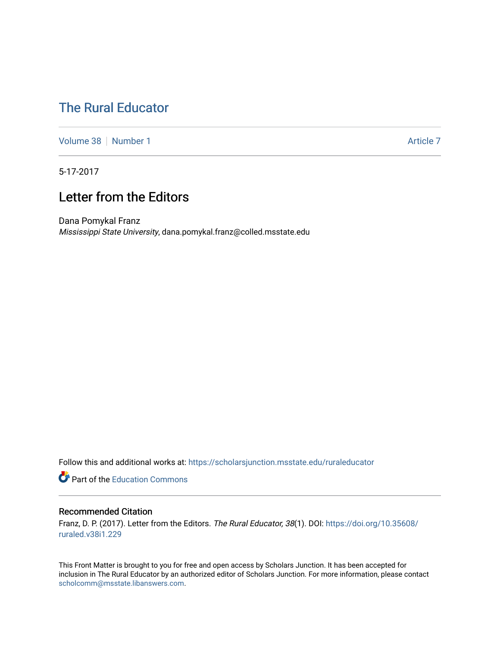# [The Rural Educator](https://scholarsjunction.msstate.edu/ruraleducator)

[Volume 38](https://scholarsjunction.msstate.edu/ruraleducator/vol38) [Number 1](https://scholarsjunction.msstate.edu/ruraleducator/vol38/iss1) Article 7

5-17-2017

### Letter from the Editors

Dana Pomykal Franz Mississippi State University, dana.pomykal.franz@colled.msstate.edu

Follow this and additional works at: [https://scholarsjunction.msstate.edu/ruraleducator](https://scholarsjunction.msstate.edu/ruraleducator?utm_source=scholarsjunction.msstate.edu%2Fruraleducator%2Fvol38%2Fiss1%2F7&utm_medium=PDF&utm_campaign=PDFCoverPages)

**C** Part of the [Education Commons](http://network.bepress.com/hgg/discipline/784?utm_source=scholarsjunction.msstate.edu%2Fruraleducator%2Fvol38%2Fiss1%2F7&utm_medium=PDF&utm_campaign=PDFCoverPages)

### Recommended Citation

Franz, D. P. (2017). Letter from the Editors. The Rural Educator, 38(1). DOI: [https://doi.org/10.35608/](https://doi.org/10.35608/ruraled.v38i1.229) [ruraled.v38i1.229](https://doi.org/10.35608/ruraled.v38i1.229)

This Front Matter is brought to you for free and open access by Scholars Junction. It has been accepted for inclusion in The Rural Educator by an authorized editor of Scholars Junction. For more information, please contact [scholcomm@msstate.libanswers.com.](mailto:scholcomm@msstate.libanswers.com)